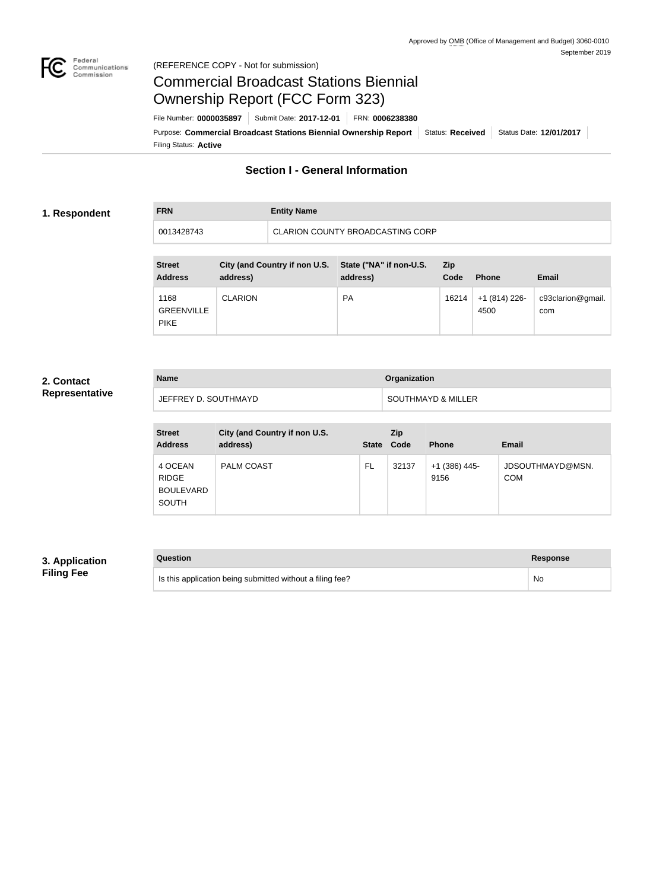

#### Federal<br>Communications<br>Commission (REFERENCE COPY - Not for submission)

# Commercial Broadcast Stations Biennial Ownership Report (FCC Form 323)

Filing Status: **Active** Purpose: Commercial Broadcast Stations Biennial Ownership Report Status: Received Status Date: 12/01/2017 File Number: **0000035897** Submit Date: **2017-12-01** FRN: **0006238380**

# **Section I - General Information**

#### **1. Respondent**

**FRN Entity Name** 0013428743 CLARION COUNTY BROADCASTING CORP

| <b>Street</b><br><b>Address</b>          | City (and Country if non U.S.<br>address) | State ("NA" if non-U.S.<br>address) | <b>Zip</b><br>Code | <b>Phone</b>          | <b>Email</b>             |
|------------------------------------------|-------------------------------------------|-------------------------------------|--------------------|-----------------------|--------------------------|
| 1168<br><b>GREENVILLE</b><br><b>PIKE</b> | <b>CLARION</b>                            | <b>PA</b>                           | 16214              | +1 (814) 226-<br>4500 | c93clarion@gmail.<br>com |

### **2. Contact Representative**

| <b>Name</b>          | <b>Organization</b> |
|----------------------|---------------------|
| JEFFREY D. SOUTHMAYD | SOUTHMAYD & MILLER  |

| <b>Street</b><br><b>Address</b>                             | City (and Country if non U.S.<br>address) | <b>State</b> | Zip<br>Code | <b>Phone</b>          | Email                          |
|-------------------------------------------------------------|-------------------------------------------|--------------|-------------|-----------------------|--------------------------------|
| 4 OCEAN<br><b>RIDGE</b><br><b>BOULEVARD</b><br><b>SOUTH</b> | <b>PALM COAST</b>                         | FL           | 32137       | +1 (386) 445-<br>9156 | JDSOUTHMAYD@MSN.<br><b>COM</b> |

## **3. Application Filing Fee**

| Question                                                  | Response |
|-----------------------------------------------------------|----------|
| Is this application being submitted without a filing fee? | No       |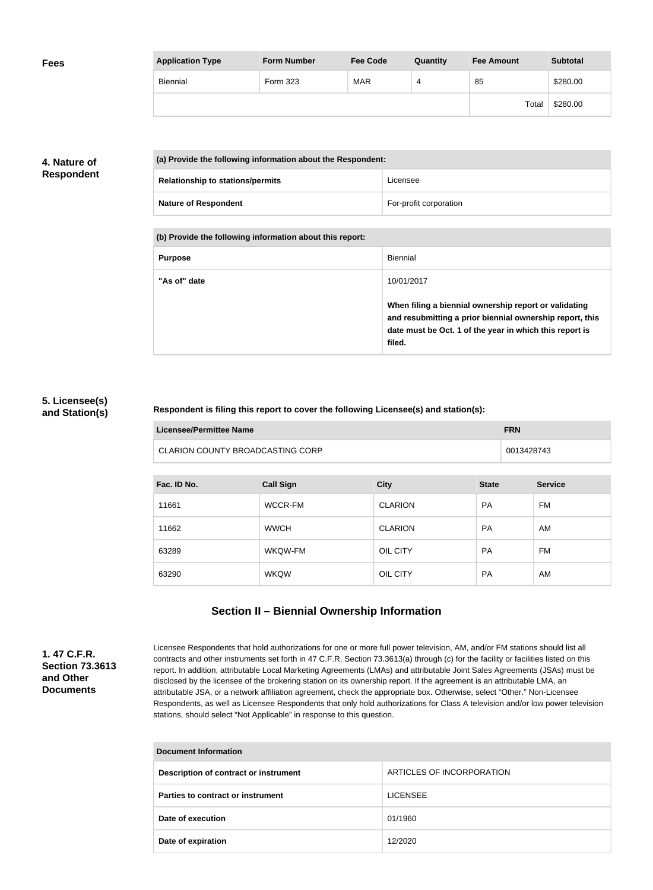| <b>Fees</b> | <b>Application Type</b> | <b>Form Number</b> | <b>Fee Code</b> | Quantity | <b>Fee Amount</b> | <b>Subtotal</b> |
|-------------|-------------------------|--------------------|-----------------|----------|-------------------|-----------------|
|             | Biennial                | Form 323           | <b>MAR</b>      | 4        | 85                | \$280.00        |
|             |                         |                    |                 |          | Total             | \$280.00        |

## **4. Nature of Respondent**

| (a) Provide the following information about the Respondent: |                        |
|-------------------------------------------------------------|------------------------|
| <b>Relationship to stations/permits</b>                     | Licensee               |
| <b>Nature of Respondent</b>                                 | For-profit corporation |

**(b) Provide the following information about this report:**

| <b>Purpose</b> | Biennial                                                                                                                                                                               |
|----------------|----------------------------------------------------------------------------------------------------------------------------------------------------------------------------------------|
| "As of" date   | 10/01/2017                                                                                                                                                                             |
|                | When filing a biennial ownership report or validating<br>and resubmitting a prior biennial ownership report, this<br>date must be Oct. 1 of the year in which this report is<br>filed. |

#### **5. Licensee(s) and Station(s)**

#### **Respondent is filing this report to cover the following Licensee(s) and station(s):**

| Licensee/Permittee Name          | <b>FRN</b> |
|----------------------------------|------------|
| CLARION COUNTY BROADCASTING CORP | 0013428743 |

| Fac. ID No. | <b>Call Sign</b> | <b>City</b>    | <b>State</b> | <b>Service</b> |
|-------------|------------------|----------------|--------------|----------------|
| 11661       | WCCR-FM          | <b>CLARION</b> | <b>PA</b>    | FM             |
| 11662       | <b>WWCH</b>      | <b>CLARION</b> | <b>PA</b>    | AM             |
| 63289       | WKQW-FM          | OIL CITY       | <b>PA</b>    | FM             |
| 63290       | <b>WKQW</b>      | OIL CITY       | <b>PA</b>    | AM             |

# **Section II – Biennial Ownership Information**

**1. 47 C.F.R. Section 73.3613 and Other Documents**

Licensee Respondents that hold authorizations for one or more full power television, AM, and/or FM stations should list all contracts and other instruments set forth in 47 C.F.R. Section 73.3613(a) through (c) for the facility or facilities listed on this report. In addition, attributable Local Marketing Agreements (LMAs) and attributable Joint Sales Agreements (JSAs) must be disclosed by the licensee of the brokering station on its ownership report. If the agreement is an attributable LMA, an attributable JSA, or a network affiliation agreement, check the appropriate box. Otherwise, select "Other." Non-Licensee Respondents, as well as Licensee Respondents that only hold authorizations for Class A television and/or low power television stations, should select "Not Applicable" in response to this question.

| Document Information                  |                           |  |
|---------------------------------------|---------------------------|--|
| Description of contract or instrument | ARTICLES OF INCORPORATION |  |
| Parties to contract or instrument     | <b>LICENSEE</b>           |  |
| Date of execution                     | 01/1960                   |  |
| Date of expiration                    | 12/2020                   |  |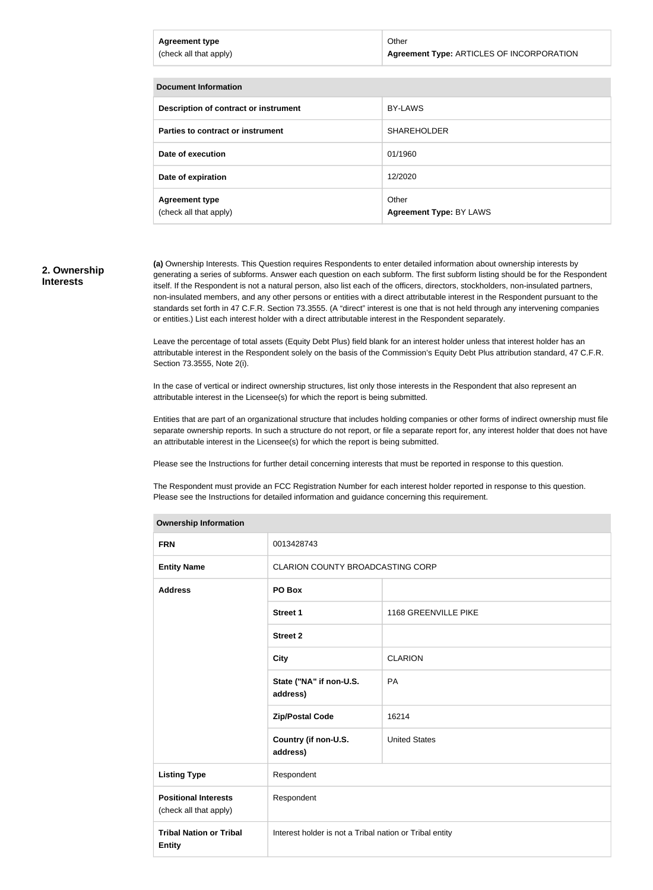| <b>Agreement type</b><br>(check all that apply) | Other<br>Agreement Type: ARTICLES OF INCORPORATION |
|-------------------------------------------------|----------------------------------------------------|
|                                                 |                                                    |
| <b>Document Information</b>                     |                                                    |
| Description of contract or instrument           | <b>BY-LAWS</b>                                     |

| Description of contract or instrument           | BY-LAWS                          |
|-------------------------------------------------|----------------------------------|
| Parties to contract or instrument               | <b>SHAREHOLDER</b>               |
| Date of execution                               | 01/1960                          |
| Date of expiration                              | 12/2020                          |
| <b>Agreement type</b><br>(check all that apply) | Other<br>Agreement Type: BY LAWS |

#### **2. Ownership Interests**

**(a)** Ownership Interests. This Question requires Respondents to enter detailed information about ownership interests by generating a series of subforms. Answer each question on each subform. The first subform listing should be for the Respondent itself. If the Respondent is not a natural person, also list each of the officers, directors, stockholders, non-insulated partners, non-insulated members, and any other persons or entities with a direct attributable interest in the Respondent pursuant to the standards set forth in 47 C.F.R. Section 73.3555. (A "direct" interest is one that is not held through any intervening companies or entities.) List each interest holder with a direct attributable interest in the Respondent separately.

Leave the percentage of total assets (Equity Debt Plus) field blank for an interest holder unless that interest holder has an attributable interest in the Respondent solely on the basis of the Commission's Equity Debt Plus attribution standard, 47 C.F.R. Section 73.3555, Note 2(i).

In the case of vertical or indirect ownership structures, list only those interests in the Respondent that also represent an attributable interest in the Licensee(s) for which the report is being submitted.

Entities that are part of an organizational structure that includes holding companies or other forms of indirect ownership must file separate ownership reports. In such a structure do not report, or file a separate report for, any interest holder that does not have an attributable interest in the Licensee(s) for which the report is being submitted.

Please see the Instructions for further detail concerning interests that must be reported in response to this question.

The Respondent must provide an FCC Registration Number for each interest holder reported in response to this question. Please see the Instructions for detailed information and guidance concerning this requirement.

| <b>Ownership Information</b>                          |                                                         |                      |
|-------------------------------------------------------|---------------------------------------------------------|----------------------|
| <b>FRN</b>                                            | 0013428743                                              |                      |
| <b>Entity Name</b>                                    | CLARION COUNTY BROADCASTING CORP                        |                      |
| <b>Address</b>                                        | PO Box                                                  |                      |
|                                                       | <b>Street 1</b>                                         | 1168 GREENVILLE PIKE |
|                                                       | <b>Street 2</b>                                         |                      |
|                                                       | <b>City</b>                                             | <b>CLARION</b>       |
|                                                       | State ("NA" if non-U.S.<br>address)                     | PA                   |
|                                                       | <b>Zip/Postal Code</b>                                  | 16214                |
|                                                       | Country (if non-U.S.<br>address)                        | <b>United States</b> |
| <b>Listing Type</b>                                   | Respondent                                              |                      |
| <b>Positional Interests</b><br>(check all that apply) | Respondent                                              |                      |
| <b>Tribal Nation or Tribal</b><br><b>Entity</b>       | Interest holder is not a Tribal nation or Tribal entity |                      |
|                                                       |                                                         |                      |

#### **Ownership Information**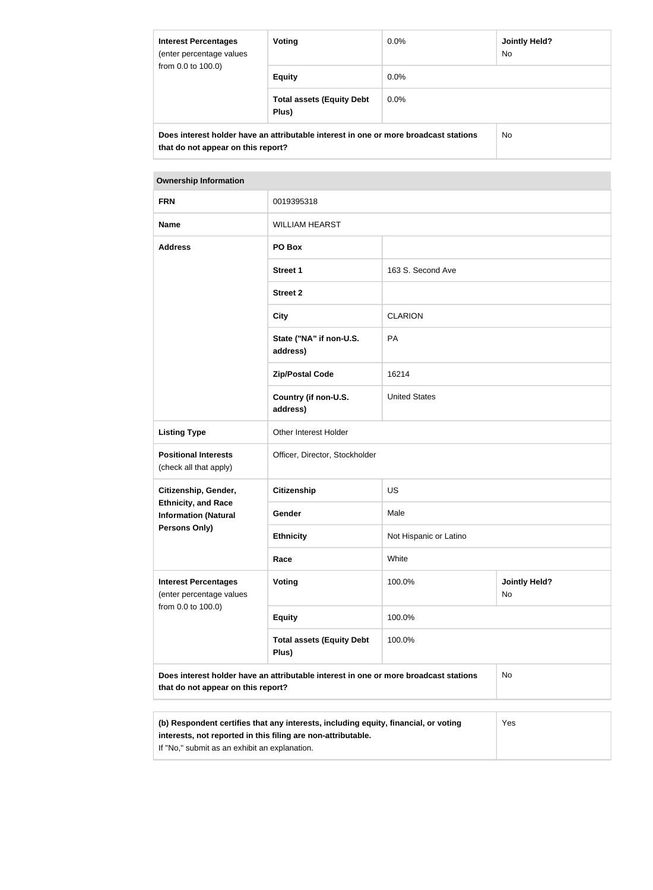| <b>Interest Percentages</b><br>(enter percentage values<br>from 0.0 to 100.0) | Voting                                                                               | $0.0\%$ | Jointly Held?<br>No. |
|-------------------------------------------------------------------------------|--------------------------------------------------------------------------------------|---------|----------------------|
|                                                                               | <b>Equity</b>                                                                        | $0.0\%$ |                      |
|                                                                               | <b>Total assets (Equity Debt</b><br>Plus)                                            | $0.0\%$ |                      |
| that do not appear on this report?                                            | Does interest holder have an attributable interest in one or more broadcast stations |         | No.                  |

#### **Ownership Information**

| <b>FRN</b>                                                                    | 0019395318                                                                           |                        |                            |
|-------------------------------------------------------------------------------|--------------------------------------------------------------------------------------|------------------------|----------------------------|
| <b>Name</b>                                                                   | <b>WILLIAM HEARST</b>                                                                |                        |                            |
| <b>Address</b>                                                                | PO Box                                                                               |                        |                            |
|                                                                               | <b>Street 1</b>                                                                      | 163 S. Second Ave      |                            |
|                                                                               | <b>Street 2</b>                                                                      |                        |                            |
|                                                                               | <b>City</b>                                                                          | <b>CLARION</b>         |                            |
|                                                                               | State ("NA" if non-U.S.<br>address)                                                  | PA                     |                            |
|                                                                               | <b>Zip/Postal Code</b>                                                               | 16214                  |                            |
|                                                                               | Country (if non-U.S.<br>address)                                                     | <b>United States</b>   |                            |
| <b>Listing Type</b>                                                           | Other Interest Holder                                                                |                        |                            |
| <b>Positional Interests</b><br>(check all that apply)                         | Officer, Director, Stockholder                                                       |                        |                            |
| Citizenship, Gender,                                                          | Citizenship                                                                          | US                     |                            |
| <b>Ethnicity, and Race</b><br><b>Information (Natural</b>                     | Gender                                                                               | Male                   |                            |
| <b>Persons Only)</b>                                                          | <b>Ethnicity</b>                                                                     | Not Hispanic or Latino |                            |
|                                                                               | Race                                                                                 | White                  |                            |
| <b>Interest Percentages</b><br>(enter percentage values<br>from 0.0 to 100.0) | <b>Voting</b>                                                                        | 100.0%                 | <b>Jointly Held?</b><br>No |
|                                                                               | <b>Equity</b>                                                                        | 100.0%                 |                            |
|                                                                               | <b>Total assets (Equity Debt</b><br>Plus)                                            | 100.0%                 |                            |
| that do not appear on this report?                                            | Does interest holder have an attributable interest in one or more broadcast stations |                        | <b>No</b>                  |
|                                                                               |                                                                                      |                        |                            |
|                                                                               |                                                                                      |                        |                            |

| (b) Respondent certifies that any interests, including equity, financial, or voting | <b>Yes</b> |
|-------------------------------------------------------------------------------------|------------|
| interests, not reported in this filing are non-attributable.                        |            |
| If "No," submit as an exhibit an explanation.                                       |            |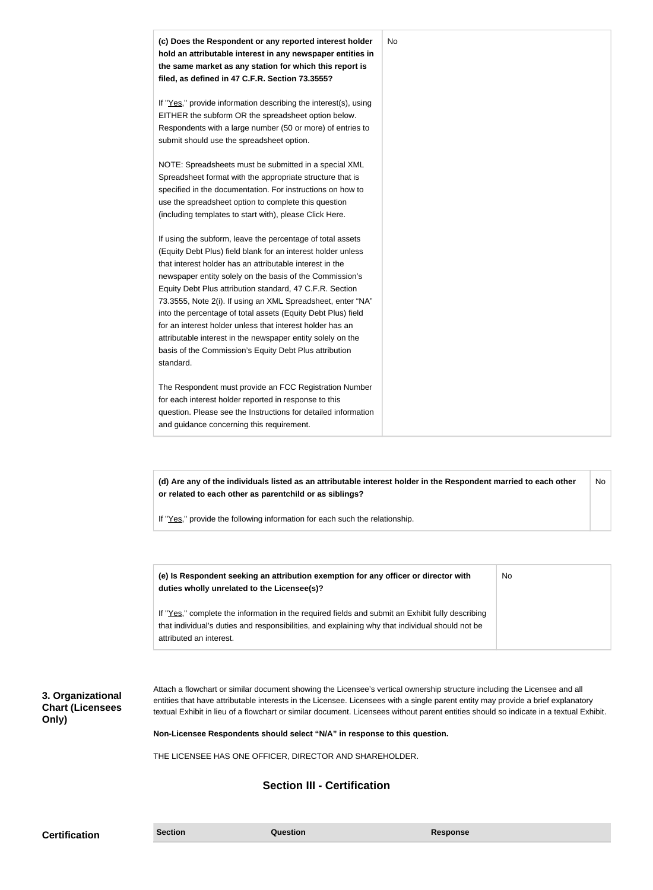| (c) Does the Respondent or any reported interest holder<br>hold an attributable interest in any newspaper entities in<br>the same market as any station for which this report is<br>filed, as defined in 47 C.F.R. Section 73.3555?                                                                                                                                                                                                                                                                                                                                                                                                              | No |
|--------------------------------------------------------------------------------------------------------------------------------------------------------------------------------------------------------------------------------------------------------------------------------------------------------------------------------------------------------------------------------------------------------------------------------------------------------------------------------------------------------------------------------------------------------------------------------------------------------------------------------------------------|----|
| If "Yes," provide information describing the interest(s), using<br>EITHER the subform OR the spreadsheet option below.<br>Respondents with a large number (50 or more) of entries to<br>submit should use the spreadsheet option.                                                                                                                                                                                                                                                                                                                                                                                                                |    |
| NOTE: Spreadsheets must be submitted in a special XML<br>Spreadsheet format with the appropriate structure that is<br>specified in the documentation. For instructions on how to<br>use the spreadsheet option to complete this question<br>(including templates to start with), please Click Here.                                                                                                                                                                                                                                                                                                                                              |    |
| If using the subform, leave the percentage of total assets<br>(Equity Debt Plus) field blank for an interest holder unless<br>that interest holder has an attributable interest in the<br>newspaper entity solely on the basis of the Commission's<br>Equity Debt Plus attribution standard, 47 C.F.R. Section<br>73.3555, Note 2(i). If using an XML Spreadsheet, enter "NA"<br>into the percentage of total assets (Equity Debt Plus) field<br>for an interest holder unless that interest holder has an<br>attributable interest in the newspaper entity solely on the<br>basis of the Commission's Equity Debt Plus attribution<br>standard. |    |
| The Respondent must provide an FCC Registration Number<br>for each interest holder reported in response to this<br>question. Please see the Instructions for detailed information<br>and guidance concerning this requirement.                                                                                                                                                                                                                                                                                                                                                                                                                   |    |

**(d) Are any of the individuals listed as an attributable interest holder in the Respondent married to each other or related to each other as parentchild or as siblings?** No

If "Yes," provide the following information for each such the relationship.

| (e) Is Respondent seeking an attribution exemption for any officer or director with<br>duties wholly unrelated to the Licensee(s)?                                                                                             | No |
|--------------------------------------------------------------------------------------------------------------------------------------------------------------------------------------------------------------------------------|----|
| If "Yes," complete the information in the required fields and submit an Exhibit fully describing<br>that individual's duties and responsibilities, and explaining why that individual should not be<br>attributed an interest. |    |

**3. Organizational Chart (Licensees Only)**

Attach a flowchart or similar document showing the Licensee's vertical ownership structure including the Licensee and all entities that have attributable interests in the Licensee. Licensees with a single parent entity may provide a brief explanatory textual Exhibit in lieu of a flowchart or similar document. Licensees without parent entities should so indicate in a textual Exhibit.

**Non-Licensee Respondents should select "N/A" in response to this question.**

THE LICENSEE HAS ONE OFFICER, DIRECTOR AND SHAREHOLDER.

## **Section III - Certification**

| <b>Section</b><br><b>Certification</b> | Question | <b>Response</b> |
|----------------------------------------|----------|-----------------|
|----------------------------------------|----------|-----------------|